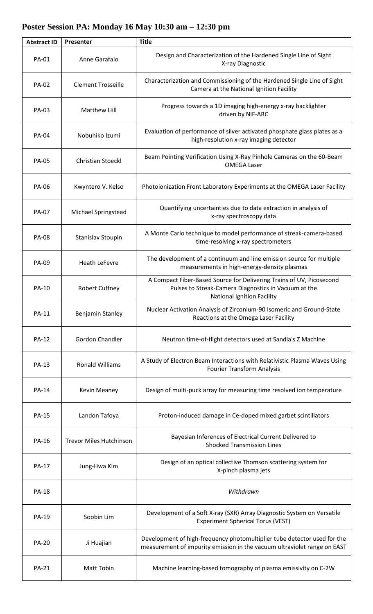| <b>Abstract ID</b> | Presenter                      | <b>Title</b>                                                                                                                                                      |
|--------------------|--------------------------------|-------------------------------------------------------------------------------------------------------------------------------------------------------------------|
| <b>PA-01</b>       | Anne Garafalo                  | Design and Characterization of the Hardened Single Line of Sight<br>X-ray Diagnostic                                                                              |
| <b>PA-02</b>       | <b>Clement Trosseille</b>      | Characterization and Commissioning of the Hardened Single Line of Sight<br>Camera at the National Ignition Facility                                               |
| PA-03              | Matthew Hill                   | Progress towards a 1D imaging high-energy x-ray backlighter<br>driven by NIF-ARC                                                                                  |
| <b>PA-04</b>       | Nobuhiko Izumi                 | Evaluation of performance of silver activated phosphate glass plates as a<br>high-resolution x-ray imaging detector                                               |
| <b>PA-05</b>       | <b>Christian Stoeckl</b>       | Beam Pointing Verification Using X-Ray Pinhole Cameras on the 60-Beam<br><b>OMEGA Laser</b>                                                                       |
| <b>PA-06</b>       | Kwyntero V. Kelso              | Photoionization Front Laboratory Experiments at the OMEGA Laser Facility                                                                                          |
| <b>PA-07</b>       | Michael Springstead            | Quantifying uncertainties due to data extraction in analysis of<br>x-ray spectroscopy data                                                                        |
| <b>PA-08</b>       | Stanislav Stoupin              | A Monte Carlo technique to model performance of streak-camera-based<br>time-resolving x-ray spectrometers                                                         |
| PA-09              | <b>Heath LeFevre</b>           | The development of a continuum and line emission source for multiple<br>measurements in high-energy-density plasmas                                               |
| <b>PA-10</b>       | <b>Robert Cuffney</b>          | A Compact Fiber-Based Source for Delivering Trains of UV, Picosecond<br>Pulses to Streak-Camera Diagnostics in Vacuum at the<br><b>National Ignition Facility</b> |
| <b>PA-11</b>       | Benjamin Stanley               | Nuclear Activation Analysis of Zirconium-90 Isomeric and Ground-State<br>Reactions at the Omega Laser Facility                                                    |
| <b>PA-12</b>       | Gordon Chandler                | Neutron time-of-flight detectors used at Sandia's Z Machine                                                                                                       |
| <b>PA-13</b>       | <b>Ronald Williams</b>         | A Study of Electron Beam Interactions with Relativistic Plasma Waves Using<br><b>Fourier Transform Analysis</b>                                                   |
| <b>PA-14</b>       | <b>Kevin Meaney</b>            | Design of multi-puck array for measuring time resolved ion temperature                                                                                            |
| <b>PA-15</b>       | Landon Tafoya                  | Proton-induced damage in Ce-doped mixed garbet scintillators                                                                                                      |
| PA-16              | <b>Trevor Miles Hutchinson</b> | Bayesian Inferences of Electrical Current Delivered to<br><b>Shocked Transmission Lines</b>                                                                       |
| <b>PA-17</b>       | Jung-Hwa Kim                   | Design of an optical collective Thomson scattering system for<br>X-pinch plasma jets                                                                              |
| <b>PA-18</b>       |                                | Withdrawn                                                                                                                                                         |
| <b>PA-19</b>       | Soobin Lim                     | Development of a Soft X-ray (SXR) Array Diagnostic System on Versatile<br><b>Experiment Spherical Torus (VEST)</b>                                                |
| <b>PA-20</b>       | Ji Huajian                     | Development of high-frequency photomultiplier tube detector used for the<br>measurement of impurity emission in the vacuum ultraviolet range on EAST              |
| <b>PA-21</b>       | <b>Matt Tobin</b>              | Machine learning-based tomography of plasma emissivity on C-2W                                                                                                    |

 $\perp$ 

## **Poster Session PA: Monday 16 May 10:30 am – 12:30 pm**